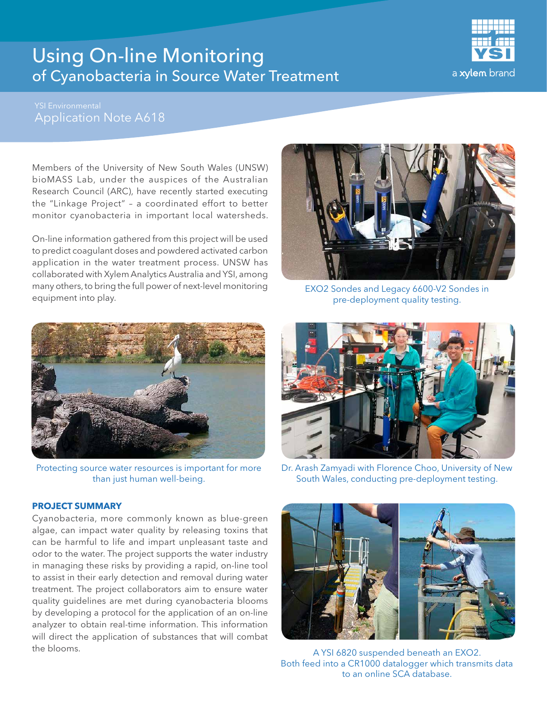## Using On-line Monitoring of Cyanobacteria in Source Water Treatment



## Application Note A618

Members of the University of New South Wales (UNSW) bioMASS Lab, under the auspices of the Australian Research Council (ARC), have recently started executing the "Linkage Project" – a coordinated effort to better monitor cyanobacteria in important local watersheds.

On-line information gathered from this project will be used to predict coagulant doses and powdered activated carbon application in the water treatment process. UNSW has collaborated with Xylem Analytics Australia and YSI, among many others, to bring the full power of next-level monitoring equipment into play.



EXO2 Sondes and Legacy 6600-V2 Sondes in pre-deployment quality testing.



Protecting source water resources is important for more than just human well-being.

## **PROJECT SUMMARY**

Cyanobacteria, more commonly known as blue-green algae, can impact water quality by releasing toxins that can be harmful to life and impart unpleasant taste and odor to the water. The project supports the water industry in managing these risks by providing a rapid, on-line tool to assist in their early detection and removal during water treatment. The project collaborators aim to ensure water quality guidelines are met during cyanobacteria blooms by developing a protocol for the application of an on-line analyzer to obtain real-time information. This information will direct the application of substances that will combat the blooms.



Dr. Arash Zamyadi with Florence Choo, University of New South Wales, conducting pre-deployment testing.



A YSI 6820 suspended beneath an EXO2. Both feed into a CR1000 datalogger which transmits data to an online SCA database.